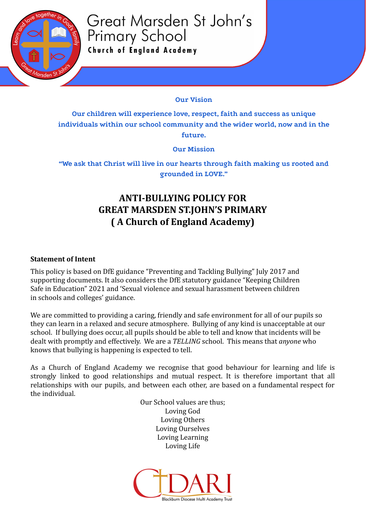

Great Marsden St John's **Primary School** Church of England Academy

#### **Our Vision**

**Our children will experience love, respect, faith and success as unique individuals within our school community and the wider world, now and in the future.**

**Our Mission**

**"We ask that Christ will live in our hearts through faith making us rooted and grounded in LOVE."**

# **ANTI-BULLYING POLICY FOR GREAT MARSDEN ST.JOHN'S PRIMARY ( A Church of England Academy)**

#### **Statement of Intent**

This policy is based on DfE guidance "Preventing and Tackling Bullying" July 2017 and supporting documents. It also considers the DfE statutory guidance "Keeping Children Safe in Education" 2021 and 'Sexual violence and sexual harassment between children in schools and colleges' guidance.

We are committed to providing a caring, friendly and safe environment for all of our pupils so they can learn in a relaxed and secure atmosphere. Bullying of any kind is unacceptable at our school. If bullying does occur, all pupils should be able to tell and know that incidents will be dealt with promptly and effectively. We are a *TELLING* school. This means that *anyone* who knows that bullying is happening is expected to tell.

As a Church of England Academy we recognise that good behaviour for learning and life is strongly linked to good relationships and mutual respect. It is therefore important that all relationships with our pupils, and between each other, are based on a fundamental respect for the individual.

> Our School values are thus; Loving God Loving Others Loving Ourselves Loving Learning Loving Life

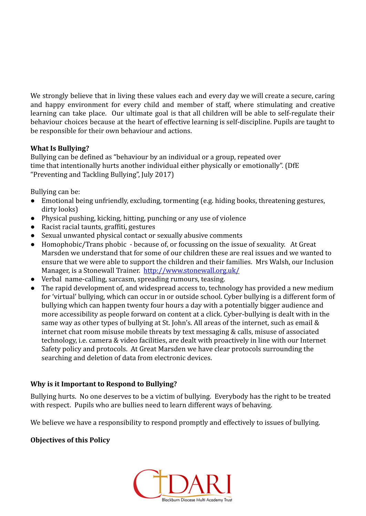We strongly believe that in living these values each and every day we will create a secure, caring and happy environment for every child and member of staff, where stimulating and creative learning can take place. Our ultimate goal is that all children will be able to self-regulate their behaviour choices because at the heart of effective learning is self-discipline. Pupils are taught to be responsible for their own behaviour and actions.

#### **What Is Bullying?**

Bullying can be defined as "behaviour by an individual or a group, repeated over time that intentionally hurts another individual either physically or emotionally". (DfE "Preventing and Tackling Bullying", July 2017)

Bullying can be:

- Emotional being unfriendly, excluding, tormenting (e.g. hiding books, threatening gestures, dirty looks)
- Physical pushing, kicking, hitting, punching or any use of violence
- Racist racial taunts, graffiti, gestures
- Sexual unwanted physical contact or sexually abusive comments
- Homophobic/Trans phobic because of, or focussing on the issue of sexuality. At Great Marsden we understand that for some of our children these are real issues and we wanted to ensure that we were able to support the children and their families. Mrs Walsh, our Inclusion Manager, is a Stonewall Trainer. <http://www.stonewall.org.uk/>
- Verbal name-calling, sarcasm, spreading rumours, teasing.
- The rapid development of, and widespread access to, technology has provided a new medium for 'virtual' bullying, which can occur in or outside school. Cyber bullying is a different form of bullying which can happen twenty four hours a day with a potentially bigger audience and more accessibility as people forward on content at a click. Cyber-bullying is dealt with in the same way as other types of bullying at St. John's. All areas of the internet, such as email & internet chat room misuse mobile threats by text messaging & calls, misuse of associated technology, i.e. camera & video facilities, are dealt with proactively in line with our Internet Safety policy and protocols. At Great Marsden we have clear protocols surrounding the searching and deletion of data from electronic devices.

#### **Why is it Important to Respond to Bullying?**

Bullying hurts. No one deserves to be a victim of bullying. Everybody has the right to be treated with respect. Pupils who are bullies need to learn different ways of behaving.

We believe we have a responsibility to respond promptly and effectively to issues of bullying.

#### **Objectives of this Policy**

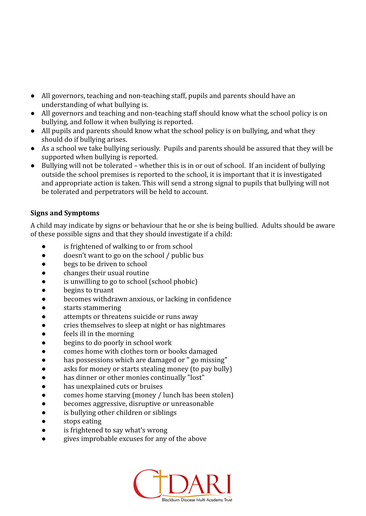- All governors, teaching and non-teaching staff, pupils and parents should have an understanding of what bullying is.
- All governors and teaching and non-teaching staff should know what the school policy is on bullying, and follow it when bullying is reported.
- All pupils and parents should know what the school policy is on bullying, and what they should do if bullying arises.
- As a school we take bullying seriously. Pupils and parents should be assured that they will be supported when bullying is reported.
- Bullying will not be tolerated whether this is in or out of school. If an incident of bullying outside the school premises is reported to the school, it is important that it is investigated and appropriate action is taken. This will send a strong signal to pupils that bullying will not be tolerated and perpetrators will be held to account.

## **Signs and Symptoms**

A child may indicate by signs or behaviour that he or she is being bullied. Adults should be aware of these possible signs and that they should investigate if a child:

- is frightened of walking to or from school
- doesn't want to go on the school / public bus
- begs to be driven to school
- changes their usual routine
- is unwilling to go to school (school phobic)
- begins to truant
- becomes withdrawn anxious, or lacking in confidence
- starts stammering
- attempts or threatens suicide or runs away
- cries themselves to sleep at night or has nightmares
- feels ill in the morning
- begins to do poorly in school work
- comes home with clothes torn or books damaged
- has possessions which are damaged or " go missing"
- asks for money or starts stealing money (to pay bully)
- has dinner or other monies continually "lost"
- has unexplained cuts or bruises
- comes home starving (money / lunch has been stolen)
- becomes aggressive, disruptive or unreasonable
- is bullying other children or siblings
- stops eating
- is frightened to say what's wrong
- gives improbable excuses for any of the above

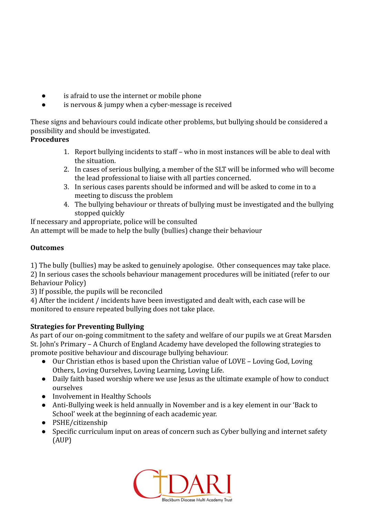- is afraid to use the internet or mobile phone
- is nervous & jumpy when a cyber-message is received

These signs and behaviours could indicate other problems, but bullying should be considered a possibility and should be investigated.

## **Procedures**

- 1. Report bullying incidents to staff who in most instances will be able to deal with the situation.
- 2. In cases of serious bullying, a member of the SLT will be informed who will become the lead professional to liaise with all parties concerned.
- 3. In serious cases parents should be informed and will be asked to come in to a meeting to discuss the problem
- 4. The bullying behaviour or threats of bullying must be investigated and the bullying stopped quickly

If necessary and appropriate, police will be consulted

An attempt will be made to help the bully (bullies) change their behaviour

# **Outcomes**

1) The bully (bullies) may be asked to genuinely apologise. Other consequences may take place.

2) In serious cases the schools behaviour management procedures will be initiated (refer to our Behaviour Policy)

3) If possible, the pupils will be reconciled

4) After the incident / incidents have been investigated and dealt with, each case will be monitored to ensure repeated bullying does not take place.

# **Strategies for Preventing Bullying**

As part of our on-going commitment to the safety and welfare of our pupils we at Great Marsden St. John's Primary – A Church of England Academy have developed the following strategies to promote positive behaviour and discourage bullying behaviour.

- Our Christian ethos is based upon the Christian value of LOVE Loving God, Loving Others, Loving Ourselves, Loving Learning, Loving Life.
- Daily faith based worship where we use Jesus as the ultimate example of how to conduct ourselves
- Involvement in Healthy Schools
- Anti-Bullying week is held annually in November and is a key element in our 'Back to School' week at the beginning of each academic year.
- PSHE/citizenship
- Specific curriculum input on areas of concern such as Cyber bullying and internet safety (AUP)